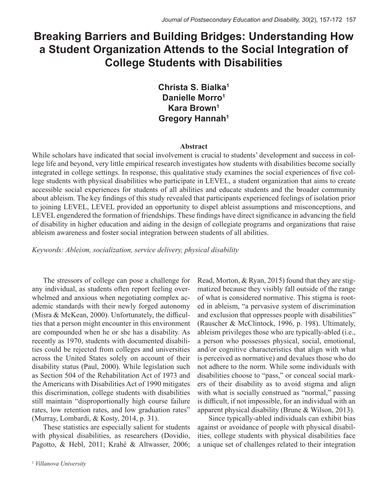# **Breaking Barriers and Building Bridges: Understanding How a Student Organization Attends to the Social Integration of College Students with Disabilities**

# **Christa S. Bialka1 Danielle Morro1 Kara Brown1 Gregory Hannah1**

#### **Abstract**

While scholars have indicated that social involvement is crucial to students' development and success in college life and beyond, very little empirical research investigates how students with disabilities become socially integrated in college settings. In response, this qualitative study examines the social experiences of five college students with physical disabilities who participate in LEVEL, a student organization that aims to create accessible social experiences for students of all abilities and educate students and the broader community about ableism. The key findings of this study revealed that participants experienced feelings of isolation prior to joining LEVEL, LEVEL provided an opportunity to dispel ableist assumptions and misconceptions, and LEVEL engendered the formation of friendships. These findings have direct significance in advancing the field of disability in higher education and aiding in the design of collegiate programs and organizations that raise ableism awareness and foster social integration between students of all abilities.

*Keywords: Ableism, socialization, service delivery, physical disability*

The stressors of college can pose a challenge for any individual, as students often report feeling overwhelmed and anxious when negotiating complex academic standards with their newly forged autonomy (Misra & McKean, 2000). Unfortunately, the difficulties that a person might encounter in this environment are compounded when he or she has a disability. As recently as 1970, students with documented disabilities could be rejected from colleges and universities across the United States solely on account of their disability status (Paul, 2000). While legislation such as Section 504 of the Rehabilitation Act of 1973 and the Americans with Disabilities Act of 1990 mitigates this discrimination, college students with disabilities still maintain "disproportionally high course failure rates, low retention rates, and low graduation rates" (Murray, Lombardi, & Kosty, 2014, p. 31).

These statistics are especially salient for students with physical disabilities, as researchers (Dovidio, Pagotto, & Hebl, 2011; Krahé & Altwasser, 2006;

<sup>1</sup> *Villanova University*

Read, Morton, & Ryan, 2015) found that they are stigmatized because they visibly fall outside of the range of what is considered normative. This stigma is rooted in ableism, "a pervasive system of discrimination and exclusion that oppresses people with disabilities" (Rauscher & McClintock, 1996, p. 198). Ultimately, ableism privileges those who are typically-abled (i.e., a person who possesses physical, social, emotional, and/or cognitive characteristics that align with what is perceived as normative) and devalues those who do not adhere to the norm. While some individuals with disabilities choose to "pass," or conceal social markers of their disability as to avoid stigma and align with what is socially construed as "normal," passing is difficult, if not impossible, for an individual with an apparent physical disability (Brune & Wilson, 2013).

Since typically-abled individuals can exhibit bias against or avoidance of people with physical disabilities, college students with physical disabilities face a unique set of challenges related to their integration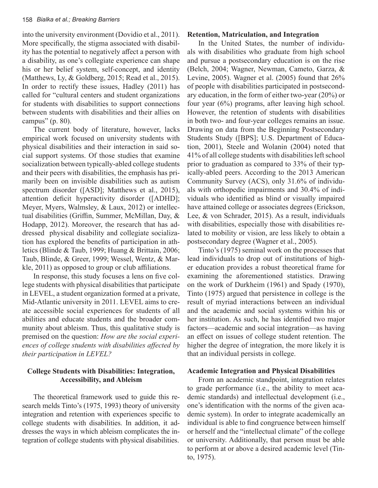into the university environment (Dovidio et al., 2011). More specifically, the stigma associated with disability has the potential to negatively affect a person with a disability, as one's collegiate experience can shape his or her belief system, self-concept, and identity (Matthews, Ly, & Goldberg, 2015; Read et al., 2015). In order to rectify these issues, Hadley (2011) has called for "cultural centers and student organizations for students with disabilities to support connections between students with disabilities and their allies on campus" (p. 80).

The current body of literature, however, lacks empirical work focused on university students with physical disabilities and their interaction in said social support systems. Of those studies that examine socialization between typically-abled college students and their peers with disabilities, the emphasis has primarily been on invisible disabilities such as autism spectrum disorder ([ASD]; Matthews et al., 2015), attention deficit hyperactivity disorder ([ADHD]; Meyer, Myers, Walmsley, & Laux, 2012) or intellectual disabilities (Griffin, Summer, McMillan, Day, & Hodapp, 2012). Moreover, the research that has addressed physical disability and collegiate socialization has explored the benefits of participation in athletics (Blinde & Taub, 1999; Huang & Brittain, 2006; Taub, Blinde, & Greer, 1999; Wessel, Wentz, & Markle, 2011) as opposed to group or club affiliations.

In response, this study focuses a lens on five college students with physical disabilities that participate in LEVEL, a student organization formed at a private, Mid-Atlantic university in 2011. LEVEL aims to create accessible social experiences for students of all abilities and educate students and the broader community about ableism. Thus, this qualitative study is premised on the question: *How are the social experiences of college students with disabilities affected by their participation in LEVEL?* 

# **College Students with Disabilities: Integration, Accessibility, and Ableism**

The theoretical framework used to guide this research melds Tinto's (1975, 1993) theory of university integration and retention with experiences specific to college students with disabilities. In addition, it addresses the ways in which ableism complicates the integration of college students with physical disabilities.

# **Retention, Matriculation, and Integration**

In the United States, the number of individuals with disabilities who graduate from high school and pursue a postsecondary education is on the rise (Belch, 2004; Wagner, Newman, Cameto, Garza, & Levine, 2005). Wagner et al. (2005) found that 26% of people with disabilities participated in postsecondary education, in the form of either two-year (20%) or four year (6%) programs, after leaving high school. However, the retention of students with disabilities in both two- and four-year colleges remains an issue. Drawing on data from the Beginning Postsecondary Students Study ([BPS]; U.S. Department of Education, 2001), Steele and Wolanin (2004) noted that 41% of all college students with disabilities left school prior to graduation as compared to 33% of their typically-abled peers. According to the 2013 American Community Survey (ACS), only 31.6% of individuals with orthopedic impairments and 30.4% of individuals who identified as blind or visually impaired have attained college or associates degrees (Erickson, Lee, & von Schrader, 2015). As a result, individuals with disabilities, especially those with disabilities related to mobility or vision, are less likely to obtain a postsecondary degree (Wagner et al., 2005).

Tinto's (1975) seminal work on the processes that lead individuals to drop out of institutions of higher education provides a robust theoretical frame for examining the aforementioned statistics. Drawing on the work of Durkheim (1961) and Spady (1970), Tinto (1975) argued that persistence in college is the result of myriad interactions between an individual and the academic and social systems within his or her institution. As such, he has identified two major factors—academic and social integration—as having an effect on issues of college student retention. The higher the degree of integration, the more likely it is that an individual persists in college.

# **Academic Integration and Physical Disabilities**

From an academic standpoint, integration relates to grade performance (i.e., the ability to meet academic standards) and intellectual development (i.e., one's identification with the norms of the given academic system). In order to integrate academically an individual is able to find congruence between himself or herself and the "intellectual climate" of the college or university. Additionally, that person must be able to perform at or above a desired academic level (Tinto, 1975).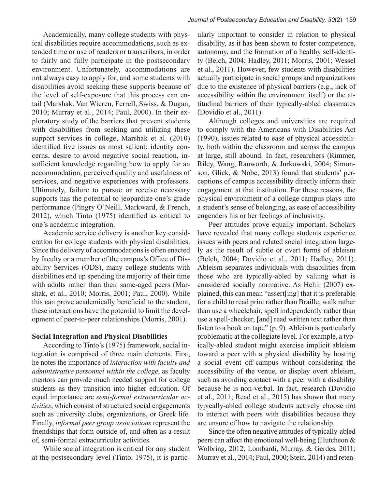Academically, many college students with physical disabilities require accommodations, such as extended time or use of readers or transcribers, in order to fairly and fully participate in the postsecondary environment. Unfortunately, accommodations are not always easy to apply for, and some students with disabilities avoid seeking these supports because of the level of self-exposure that this process can entail (Marshak, Van Wieren, Ferrell, Swiss, & Dugan, 2010; Murray et al., 2014; Paul, 2000). In their exploratory study of the barriers that prevent students with disabilities from seeking and utilizing these support services in college, Marshak et al. (2010) identified five issues as most salient: identity concerns, desire to avoid negative social reaction, insufficient knowledge regarding how to apply for an accommodation, perceived quality and usefulness of services, and negative experiences with professors. Ultimately, failure to pursue or receive necessary supports has the potential to jeopardize one's grade performance (Pingry O'Neill, Markward, & French, 2012), which Tinto (1975) identified as critical to one's academic integration.

Academic service delivery is another key consideration for college students with physical disabilities. Since the delivery of accommodations is often enacted by faculty or a member of the campus's Office of Disability Services (ODS), many college students with disabilities end up spending the majority of their time with adults rather than their same-aged peers (Marshak, et al., 2010; Morris, 2001; Paul, 2000). While this can prove academically beneficial to the student, these interactions have the potential to limit the development of peer-to-peer relationships (Morris, 2001).

# **Social Integration and Physical Disabilities**

According to Tinto's (1975) framework, social integration is comprised of three main elements. First, he notes the importance of *interaction with faculty and administrative personnel within the college*, as faculty mentors can provide much needed support for college students as they transition into higher education. Of equal importance are *semi-formal extracurricular activities*, which consist of structured social engagements such as university clubs, organizations, or Greek life. Finally, *informal peer group associations* represent the friendships that form outside of, and often as a result of, semi-formal extracurricular activities.

While social integration is critical for any student at the postsecondary level (Tinto, 1975), it is particularly important to consider in relation to physical disability, as it has been shown to foster competence, autonomy, and the formation of a healthy self-identity (Belch, 2004; Hadley, 2011; Morris, 2001; Wessel et al., 2011). However, few students with disabilities actually participate in social groups and organizations due to the existence of physical barriers (e.g., lack of accessibility within the environment itself) or the attitudinal barriers of their typically-abled classmates (Dovidio et al., 2011).

Although colleges and universities are required to comply with the Americans with Disabilities Act (1990), issues related to ease of physical accessibility, both within the classroom and across the campus at large, still abound. In fact, researchers (Rimmer, Riley, Wang, Rauworth, & Jurkowski, 2004; Simonson, Glick, & Nobe, 2013) found that students' perceptions of campus accessibility directly inform their engagement at that institution. For these reasons, the physical environment of a college campus plays into a student's sense of belonging, as ease of accessibility engenders his or her feelings of inclusivity.

Peer attitudes prove equally important. Scholars have revealed that many college students experience issues with peers and related social integration largely as the result of subtle or overt forms of ableism (Belch, 2004; Dovidio et al., 2011; Hadley, 2011). Ableism separates individuals with disabilities from those who are typically-abled by valuing what is considered socially normative. As Hehir (2007) explained, this can mean "assert[ing] that it is preferable for a child to read print rather than Braille, walk rather than use a wheelchair, spell independently rather than use a spell-checker, [and] read written text rather than listen to a book on tape" (p. 9). Ableism is particularly problematic at the collegiate level. For example, a typically-abled student might exercise implicit ableism toward a peer with a physical disability by hosting a social event off-campus without considering the accessibility of the venue, or display overt ableism, such as avoiding contact with a peer with a disability because he is non-verbal. In fact, research (Dovidio et al., 2011; Read et al., 2015) has shown that many typically-abled college students actively choose not to interact with peers with disabilities because they are unsure of how to navigate the relationship.

Since the often negative attitudes of typically-abled peers can affect the emotional well-being (Hutcheon & Wolbring, 2012; Lombardi, Murray, & Gerdes, 2011; Murray et al., 2014; Paul, 2000; Stein, 2014) and reten-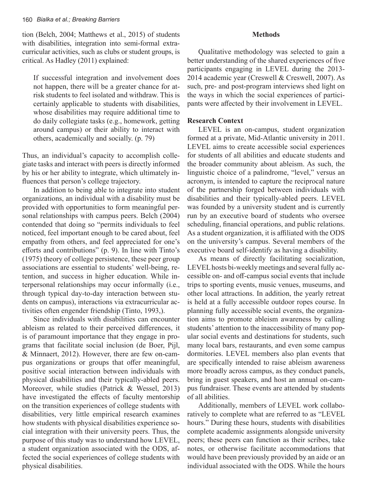tion (Belch, 2004; Matthews et al., 2015) of students with disabilities, integration into semi-formal extracurricular activities, such as clubs or student groups, is critical. As Hadley (2011) explained:

If successful integration and involvement does not happen, there will be a greater chance for atrisk students to feel isolated and withdraw. This is certainly applicable to students with disabilities, whose disabilities may require additional time to do daily collegiate tasks (e.g., homework, getting around campus) or their ability to interact with others, academically and socially. (p. 79)

Thus, an individual's capacity to accomplish collegiate tasks and interact with peers is directly informed by his or her ability to integrate, which ultimately influences that person's college trajectory.

In addition to being able to integrate into student organizations, an individual with a disability must be provided with opportunities to form meaningful personal relationships with campus peers. Belch (2004) contended that doing so "permits individuals to feel noticed, feel important enough to be cared about, feel empathy from others, and feel appreciated for one's efforts and contributions" (p. 9). In line with Tinto's (1975) theory of college persistence, these peer group associations are essential to students' well-being, retention, and success in higher education. While interpersonal relationships may occur informally (i.e., through typical day-to-day interaction between students on campus), interactions via extracurricular activities often engender friendship (Tinto, 1993,).

Since individuals with disabilities can encounter ableism as related to their perceived differences, it is of paramount importance that they engage in programs that facilitate social inclusion (de Boer, Pijl, & Minnaert, 2012). However, there are few on-campus organizations or groups that offer meaningful, positive social interaction between individuals with physical disabilities and their typically-abled peers. Moreover, while studies (Patrick & Wessel, 2013) have investigated the effects of faculty mentorship on the transition experiences of college students with disabilities, very little empirical research examines how students with physical disabilities experience social integration with their university peers. Thus, the purpose of this study was to understand how LEVEL, a student organization associated with the ODS, affected the social experiences of college students with physical disabilities.

#### **Methods**

Qualitative methodology was selected to gain a better understanding of the shared experiences of five participants engaging in LEVEL during the 2013- 2014 academic year (Creswell & Creswell, 2007). As such, pre- and post-program interviews shed light on the ways in which the social experiences of participants were affected by their involvement in LEVEL.

#### **Research Context**

LEVEL is an on-campus, student organization formed at a private, Mid-Atlantic university in 2011. LEVEL aims to create accessible social experiences for students of all abilities and educate students and the broader community about ableism. As such, the linguistic choice of a palindrome, "level," versus an acronym, is intended to capture the reciprocal nature of the partnership forged between individuals with disabilities and their typically-abled peers. LEVEL was founded by a university student and is currently run by an executive board of students who oversee scheduling, financial operations, and public relations. As a student organization, it is affiliated with the ODS on the university's campus. Several members of the executive board self-identify as having a disability.

As means of directly facilitating socialization, LEVEL hosts bi-weekly meetings and several fully accessible on- and off-campus social events that include trips to sporting events, music venues, museums, and other local attractions. In addition, the yearly retreat is held at a fully accessible outdoor ropes course. In planning fully accessible social events, the organization aims to promote ableism awareness by calling students' attention to the inaccessibility of many popular social events and destinations for students, such many local bars, restaurants, and even some campus dormitories. LEVEL members also plan events that are specifically intended to raise ableism awareness more broadly across campus, as they conduct panels, bring in guest speakers, and host an annual on-campus fundraiser. These events are attended by students of all abilities.

Additionally, members of LEVEL work collaboratively to complete what are referred to as "LEVEL hours." During these hours, students with disabilities complete academic assignments alongside university peers; these peers can function as their scribes, take notes, or otherwise facilitate accommodations that would have been previously provided by an aide or an individual associated with the ODS. While the hours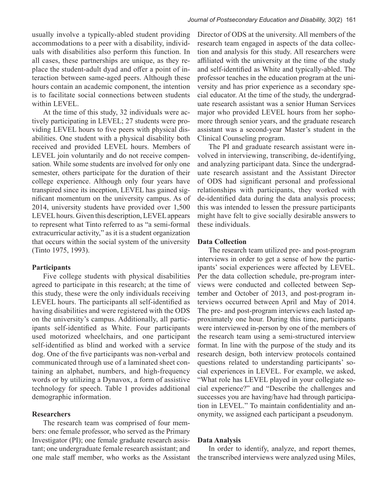usually involve a typically-abled student providing accommodations to a peer with a disability, individuals with disabilities also perform this function. In all cases, these partnerships are unique, as they replace the student-adult dyad and offer a point of interaction between same-aged peers. Although these hours contain an academic component, the intention is to facilitate social connections between students within LEVEL.

At the time of this study, 32 individuals were actively participating in LEVEL; 27 students were providing LEVEL hours to five peers with physical disabilities. One student with a physical disability both received and provided LEVEL hours. Members of LEVEL join voluntarily and do not receive compensation. While some students are involved for only one semester, others participate for the duration of their college experience. Although only four years have transpired since its inception, LEVEL has gained significant momentum on the university campus. As of 2014, university students have provided over 1,500 LEVEL hours. Given this description, LEVEL appears to represent what Tinto referred to as "a semi-formal extracurricular activity," as it is a student organization that occurs within the social system of the university (Tinto 1975, 1993).

# **Participants**

Five college students with physical disabilities agreed to participate in this research; at the time of this study, these were the only individuals receiving LEVEL hours. The participants all self-identified as having disabilities and were registered with the ODS on the university's campus. Additionally, all participants self-identified as White. Four participants used motorized wheelchairs, and one participant self-identified as blind and worked with a service dog. One of the five participants was non-verbal and communicated through use of a laminated sheet containing an alphabet, numbers, and high-frequency words or by utilizing a Dynavox, a form of assistive technology for speech. Table 1 provides additional demographic information.

#### **Researchers**

The research team was comprised of four members: one female professor, who served as the Primary Investigator (PI); one female graduate research assistant; one undergraduate female research assistant; and one male staff member, who works as the Assistant Director of ODS at the university. All members of the research team engaged in aspects of the data collection and analysis for this study. All researchers were affiliated with the university at the time of the study and self-identified as White and typically-abled. The professor teaches in the education program at the university and has prior experience as a secondary special educator. At the time of the study, the undergraduate research assistant was a senior Human Services major who provided LEVEL hours from her sophomore through senior years, and the graduate research assistant was a second-year Master's student in the Clinical Counseling program.

The PI and graduate research assistant were involved in interviewing, transcribing, de-identifying, and analyzing participant data. Since the undergraduate research assistant and the Assistant Director of ODS had significant personal and professional relationships with participants, they worked with de-identified data during the data analysis process; this was intended to lessen the pressure participants might have felt to give socially desirable answers to these individuals.

#### **Data Collection**

The research team utilized pre- and post-program interviews in order to get a sense of how the participants' social experiences were affected by LEVEL. Per the data collection schedule, pre-program interviews were conducted and collected between September and October of 2013, and post-program interviews occurred between April and May of 2014. The pre- and post-program interviews each lasted approximately one hour. During this time, participants were interviewed in-person by one of the members of the research team using a semi-structured interview format. In line with the purpose of the study and its research design, both interview protocols contained questions related to understanding participants' social experiences in LEVEL. For example, we asked, "What role has LEVEL played in your collegiate social experience?" and "Describe the challenges and successes you are having/have had through participation in LEVEL." To maintain confidentiality and anonymity, we assigned each participant a pseudonym.

#### **Data Analysis**

In order to identify, analyze, and report themes, the transcribed interviews were analyzed using Miles,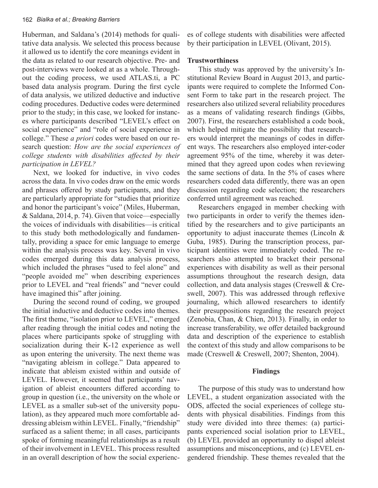Huberman, and Saldana's (2014) methods for qualitative data analysis. We selected this process because it allowed us to identify the core meanings evident in the data as related to our research objective. Pre- and post-interviews were looked at as a whole. Throughout the coding process, we used ATLAS.ti, a PC based data analysis program. During the first cycle of data analysis, we utilized deductive and inductive coding procedures. Deductive codes were determined prior to the study; in this case, we looked for instances where participants described "LEVEL's effect on social experience" and "role of social experience in college." These *a priori* codes were based on our research question: *How are the social experiences of college students with disabilities affected by their participation in LEVEL?*

Next, we looked for inductive, in vivo codes across the data. In vivo codes draw on the emic words and phrases offered by study participants, and they are particularly appropriate for "studies that prioritize and honor the participant's voice" (Miles, Huberman, & Saldana, 2014, p. 74). Given that voice—especially the voices of individuals with disabilities—is critical to this study both methodologically and fundamentally, providing a space for emic language to emerge within the analysis process was key. Several in vivo codes emerged during this data analysis process, which included the phrases "used to feel alone" and "people avoided me" when describing experiences prior to LEVEL and "real friends" and "never could have imagined this" after joining.

During the second round of coding, we grouped the initial inductive and deductive codes into themes. The first theme, "isolation prior to LEVEL," emerged after reading through the initial codes and noting the places where participants spoke of struggling with socialization during their K-12 experience as well as upon entering the university. The next theme was "navigating ableism in college." Data appeared to indicate that ableism existed within and outside of LEVEL. However, it seemed that participants' navigation of ableist encounters differed according to group in question (i.e., the university on the whole or LEVEL as a smaller sub-set of the university population), as they appeared much more comfortable addressing ableism within LEVEL. Finally, "friendship" surfaced as a salient theme; in all cases, participants spoke of forming meaningful relationships as a result of their involvement in LEVEL. This process resulted in an overall description of how the social experiences of college students with disabilities were affected by their participation in LEVEL (Olivant, 2015).

#### **Trustworthiness**

This study was approved by the university's Institutional Review Board in August 2013, and participants were required to complete the Informed Consent Form to take part in the research project. The researchers also utilized several reliability procedures as a means of validating research findings (Gibbs, 2007). First, the researchers established a code book, which helped mitigate the possibility that researchers would interpret the meanings of codes in different ways. The researchers also employed inter-coder agreement 95% of the time, whereby it was determined that they agreed upon codes when reviewing the same sections of data. In the 5% of cases where researchers coded data differently, there was an open discussion regarding code selection; the researchers conferred until agreement was reached.

Researchers engaged in member checking with two participants in order to verify the themes identified by the researchers and to give participants an opportunity to adjust inaccurate themes (Lincoln & Guba, 1985). During the transcription process, participant identities were immediately coded. The researchers also attempted to bracket their personal experiences with disability as well as their personal assumptions throughout the research design, data collection, and data analysis stages (Creswell & Creswell, 2007). This was addressed through reflexive journaling, which allowed researchers to identify their presuppositions regarding the research project (Zenobia, Chan, & Chien, 2013). Finally, in order to increase transferability, we offer detailed background data and description of the experience to establish the context of this study and allow comparisons to be made (Creswell & Creswell, 2007; Shenton, 2004).

#### **Findings**

The purpose of this study was to understand how LEVEL, a student organization associated with the ODS, affected the social experiences of college students with physical disabilities. Findings from this study were divided into three themes: (a) participants experienced social isolation prior to LEVEL, (b) LEVEL provided an opportunity to dispel ableist assumptions and misconceptions, and (c) LEVEL engendered friendship. These themes revealed that the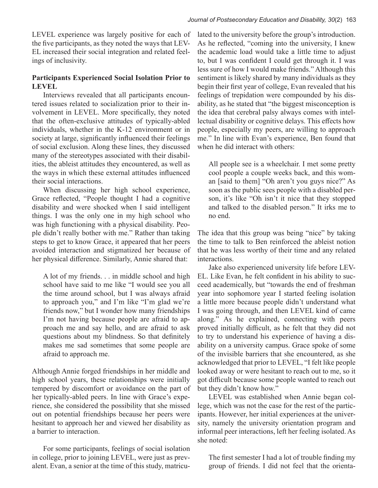LEVEL experience was largely positive for each of the five participants, as they noted the ways that LEV-EL increased their social integration and related feelings of inclusivity.

# **Participants Experienced Social Isolation Prior to LEVEL**

Interviews revealed that all participants encountered issues related to socialization prior to their involvement in LEVEL. More specifically, they noted that the often-exclusive attitudes of typically-abled individuals, whether in the K-12 environment or in society at large, significantly influenced their feelings of social exclusion. Along these lines, they discussed many of the stereotypes associated with their disabilities, the ableist attitudes they encountered, as well as the ways in which these external attitudes influenced their social interactions.

When discussing her high school experience, Grace reflected, "People thought I had a cognitive disability and were shocked when I said intelligent things. I was the only one in my high school who was high functioning with a physical disability. People didn't really bother with me." Rather than taking steps to get to know Grace, it appeared that her peers avoided interaction and stigmatized her because of her physical difference. Similarly, Annie shared that:

A lot of my friends. . . in middle school and high school have said to me like "I would see you all the time around school, but I was always afraid to approach you," and I'm like "I'm glad we're friends now," but I wonder how many friendships I'm not having because people are afraid to approach me and say hello, and are afraid to ask questions about my blindness. So that definitely makes me sad sometimes that some people are afraid to approach me.

Although Annie forged friendships in her middle and high school years, these relationships were initially tempered by discomfort or avoidance on the part of her typically-abled peers. In line with Grace's experience, she considered the possibility that she missed out on potential friendships because her peers were hesitant to approach her and viewed her disability as a barrier to interaction.

For some participants, feelings of social isolation in college, prior to joining LEVEL, were just as prevalent. Evan, a senior at the time of this study, matriculated to the university before the group's introduction. As he reflected, "coming into the university, I knew the academic load would take a little time to adjust to, but I was confident I could get through it. I was less sure of how I would make friends." Although this sentiment is likely shared by many individuals as they begin their first year of college, Evan revealed that his feelings of trepidation were compounded by his disability, as he stated that "the biggest misconception is the idea that cerebral palsy always comes with intellectual disability or cognitive delays. This effects how people, especially my peers, are willing to approach me." In line with Evan's experience, Ben found that when he did interact with others:

All people see is a wheelchair. I met some pretty cool people a couple weeks back, and this woman [said to them] "Oh aren't you guys nice?" As soon as the public sees people with a disabled person, it's like "Oh isn't it nice that they stopped and talked to the disabled person." It irks me to no end.

The idea that this group was being "nice" by taking the time to talk to Ben reinforced the ableist notion that he was less worthy of their time and any related interactions.

Jake also experienced university life before LEV-EL. Like Evan, he felt confident in his ability to succeed academically, but "towards the end of freshman year into sophomore year I started feeling isolation a little more because people didn't understand what I was going through, and then LEVEL kind of came along." As he explained, connecting with peers proved initially difficult, as he felt that they did not to try to understand his experience of having a disability on a university campus. Grace spoke of some of the invisible barriers that she encountered, as she acknowledged that prior to LEVEL, "I felt like people looked away or were hesitant to reach out to me, so it got difficult because some people wanted to reach out but they didn't know how."

LEVEL was established when Annie began college, which was not the case for the rest of the participants. However, her initial experiences at the university, namely the university orientation program and informal peer interactions, left her feeling isolated. As she noted:

The first semester I had a lot of trouble finding my group of friends. I did not feel that the orienta-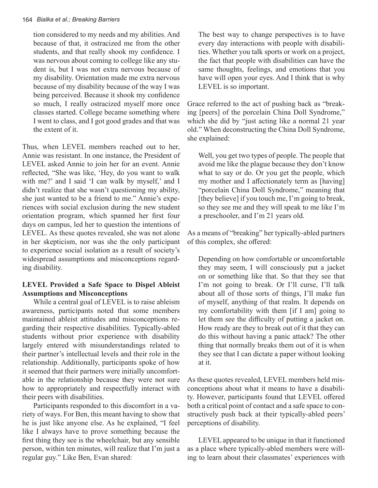#### 164 *Bialka et al.; Breaking Barriers*

tion considered to my needs and my abilities. And because of that, it ostracized me from the other students, and that really shook my confidence. I was nervous about coming to college like any student is, but I was not extra nervous because of my disability. Orientation made me extra nervous because of my disability because of the way I was being perceived. Because it shook my confidence so much, I really ostracized myself more once classes started. College became something where I went to class, and I got good grades and that was the extent of it.

Thus, when LEVEL members reached out to her, Annie was resistant. In one instance, the President of LEVEL asked Annie to join her for an event. Annie reflected, "She was like, 'Hey, do you want to walk with me?' and I said 'I can walk by myself,' and I didn't realize that she wasn't questioning my ability, she just wanted to be a friend to me." Annie's experiences with social exclusion during the new student orientation program, which spanned her first four days on campus, led her to question the intentions of LEVEL. As these quotes revealed, she was not alone in her skepticism, nor was she the only participant to experience social isolation as a result of society's widespread assumptions and misconceptions regarding disability.

# **LEVEL Provided a Safe Space to Dispel Ableist Assumptions and Misconceptions**

While a central goal of LEVEL is to raise ableism awareness, participants noted that some members maintained ableist attitudes and misconceptions regarding their respective disabilities. Typically-abled students without prior experience with disability largely entered with misunderstandings related to their partner's intellectual levels and their role in the relationship. Additionally, participants spoke of how it seemed that their partners were initially uncomfortable in the relationship because they were not sure how to appropriately and respectfully interact with their peers with disabilities.

Participants responded to this discomfort in a variety of ways. For Ben, this meant having to show that he is just like anyone else. As he explained, "I feel like I always have to prove something because the first thing they see is the wheelchair, but any sensible person, within ten minutes, will realize that I'm just a regular guy." Like Ben, Evan shared:

The best way to change perspectives is to have every day interactions with people with disabilities. Whether you talk sports or work on a project, the fact that people with disabilities can have the same thoughts, feelings, and emotions that you have will open your eyes. And I think that is why LEVEL is so important.

Grace referred to the act of pushing back as "breaking [peers] of the porcelain China Doll Syndrome," which she did by "just acting like a normal 21 year old." When deconstructing the China Doll Syndrome, she explained:

Well, you get two types of people. The people that avoid me like the plague because they don't know what to say or do. Or you get the people, which my mother and I affectionately term as [having] "porcelain China Doll Syndrome," meaning that [they believe] if you touch me, I'm going to break, so they see me and they will speak to me like I'm a preschooler, and I'm 21 years old.

As a means of "breaking" her typically-abled partners of this complex, she offered:

Depending on how comfortable or uncomfortable they may seem, I will consciously put a jacket on or something like that. So that they see that I'm not going to break. Or I'll curse, I'll talk about all of those sorts of things, I'll make fun of myself, anything of that realm. It depends on my comfortability with them [if I am] going to let them see the difficulty of putting a jacket on. How ready are they to break out of it that they can do this without having a panic attack? The other thing that normally breaks them out of it is when they see that I can dictate a paper without looking at it.

As these quotes revealed, LEVEL members held misconceptions about what it means to have a disability. However, participants found that LEVEL offered both a critical point of contact and a safe space to constructively push back at their typically-abled peers' perceptions of disability.

LEVEL appeared to be unique in that it functioned as a place where typically-abled members were willing to learn about their classmates' experiences with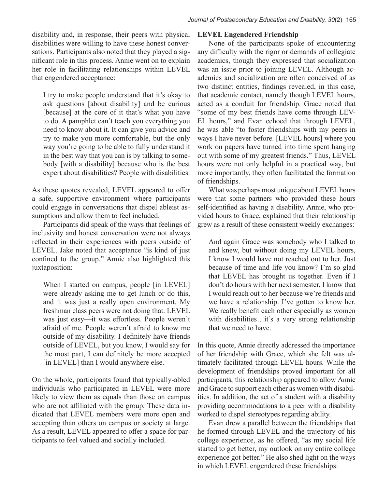disability and, in response, their peers with physical disabilities were willing to have these honest conversations. Participants also noted that they played a significant role in this process. Annie went on to explain her role in facilitating relationships within LEVEL that engendered acceptance:

I try to make people understand that it's okay to ask questions [about disability] and be curious [because] at the core of it that's what you have to do. A pamphlet can't teach you everything you need to know about it. It can give you advice and try to make you more comfortable, but the only way you're going to be able to fully understand it in the best way that you can is by talking to somebody [with a disability] because who is the best expert about disabilities? People with disabilities.

As these quotes revealed, LEVEL appeared to offer a safe, supportive environment where participants could engage in conversations that dispel ableist assumptions and allow them to feel included.

Participants did speak of the ways that feelings of inclusivity and honest conversation were not always reflected in their experiences with peers outside of LEVEL. Jake noted that acceptance "is kind of just confined to the group." Annie also highlighted this juxtaposition:

When I started on campus, people [in LEVEL] were already asking me to get lunch or do this, and it was just a really open environment. My freshman class peers were not doing that. LEVEL was just easy—it was effortless. People weren't afraid of me. People weren't afraid to know me outside of my disability. I definitely have friends outside of LEVEL, but you know, I would say for the most part, I can definitely be more accepted [in LEVEL] than I would anywhere else.

On the whole, participants found that typically-abled individuals who participated in LEVEL were more likely to view them as equals than those on campus who are not affiliated with the group. These data indicated that LEVEL members were more open and accepting than others on campus or society at large. As a result, LEVEL appeared to offer a space for participants to feel valued and socially included.

#### **LEVEL Engendered Friendship**

None of the participants spoke of encountering any difficulty with the rigor or demands of collegiate academics, though they expressed that socialization was an issue prior to joining LEVEL. Although academics and socialization are often conceived of as two distinct entities, findings revealed, in this case, that academic contact, namely though LEVEL hours, acted as a conduit for friendship. Grace noted that "some of my best friends have come through LEV-EL hours," and Evan echoed that through LEVEL, he was able "to foster friendships with my peers in ways I have never before. [LEVEL hours] where you work on papers have turned into time spent hanging out with some of my greatest friends." Thus, LEVEL hours were not only helpful in a practical way, but more importantly, they often facilitated the formation of friendships.

What was perhaps most unique about LEVEL hours were that some partners who provided these hours self-identified as having a disability. Annie, who provided hours to Grace, explained that their relationship grew as a result of these consistent weekly exchanges:

And again Grace was somebody who I talked to and knew, but without doing my LEVEL hours, I know I would have not reached out to her. Just because of time and life you know? I'm so glad that LEVEL has brought us together. Even if I don't do hours with her next semester, I know that I would reach out to her because we're friends and we have a relationship. I've gotten to know her. We really benefit each other especially as women with disabilities…it's a very strong relationship that we need to have.

In this quote, Annie directly addressed the importance of her friendship with Grace, which she felt was ultimately facilitated through LEVEL hours. While the development of friendships proved important for all participants, this relationship appeared to allow Annie and Grace to support each other as women with disabilities. In addition, the act of a student with a disability providing accommodations to a peer with a disability worked to dispel stereotypes regarding ability.

Evan drew a parallel between the friendships that he formed through LEVEL and the trajectory of his college experience, as he offered, "as my social life started to get better, my outlook on my entire college experience got better." He also shed light on the ways in which LEVEL engendered these friendships: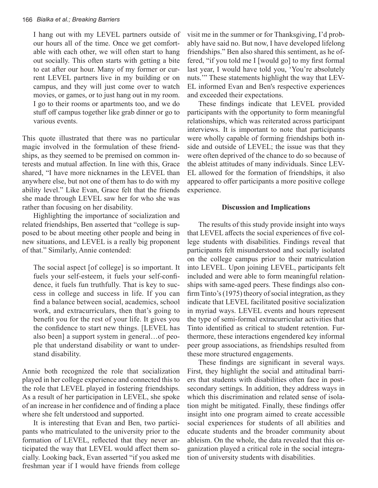I hang out with my LEVEL partners outside of our hours all of the time. Once we get comfortable with each other, we will often start to hang out socially. This often starts with getting a bite to eat after our hour. Many of my former or current LEVEL partners live in my building or on campus, and they will just come over to watch movies, or games, or to just hang out in my room. I go to their rooms or apartments too, and we do stuff off campus together like grab dinner or go to various events.

This quote illustrated that there was no particular magic involved in the formulation of these friendships, as they seemed to be premised on common interests and mutual affection. In line with this, Grace shared, "I have more nicknames in the LEVEL than anywhere else, but not one of them has to do with my ability level." Like Evan, Grace felt that the friends she made through LEVEL saw her for who she was rather than focusing on her disability.

Highlighting the importance of socialization and related friendships, Ben asserted that "college is supposed to be about meeting other people and being in new situations, and LEVEL is a really big proponent of that." Similarly, Annie contended:

The social aspect [of college] is so important. It fuels your self-esteem, it fuels your self-confidence, it fuels fun truthfully. That is key to success in college and success in life. If you can find a balance between social, academics, school work, and extracurriculars, then that's going to benefit you for the rest of your life. It gives you the confidence to start new things. [LEVEL has also been] a support system in general…of people that understand disability or want to understand disability.

Annie both recognized the role that socialization played in her college experience and connected this to the role that LEVEL played in fostering friendships. As a result of her participation in LEVEL, she spoke of an increase in her confidence and of finding a place where she felt understood and supported.

It is interesting that Evan and Ben, two participants who matriculated to the university prior to the formation of LEVEL, reflected that they never anticipated the way that LEVEL would affect them socially. Looking back, Evan asserted "if you asked me freshman year if I would have friends from college visit me in the summer or for Thanksgiving, I'd probably have said no. But now, I have developed lifelong friendships." Ben also shared this sentiment, as he offered, "if you told me I [would go] to my first formal last year, I would have told you, 'You're absolutely nuts.'" These statements highlight the way that LEV-EL informed Evan and Ben's respective experiences and exceeded their expectations.

These findings indicate that LEVEL provided participants with the opportunity to form meaningful relationships, which was reiterated across participant interviews. It is important to note that participants were wholly capable of forming friendships both inside and outside of LEVEL; the issue was that they were often deprived of the chance to do so because of the ableist attitudes of many individuals. Since LEV-EL allowed for the formation of friendships, it also appeared to offer participants a more positive college experience.

#### **Discussion and Implications**

The results of this study provide insight into ways that LEVEL affects the social experiences of five college students with disabilities. Findings reveal that participants felt misunderstood and socially isolated on the college campus prior to their matriculation into LEVEL. Upon joining LEVEL, participants felt included and were able to form meaningful relationships with same-aged peers. These findings also confirm Tinto's (1975) theory of social integration, as they indicate that LEVEL facilitated positive socialization in myriad ways. LEVEL events and hours represent the type of semi-formal extracurricular activities that Tinto identified as critical to student retention. Furthermore, these interactions engendered key informal peer group associations, as friendships resulted from these more structured engagements.

These findings are significant in several ways. First, they highlight the social and attitudinal barriers that students with disabilities often face in postsecondary settings. In addition, they address ways in which this discrimination and related sense of isolation might be mitigated. Finally, these findings offer insight into one program aimed to create accessible social experiences for students of all abilities and educate students and the broader community about ableism. On the whole, the data revealed that this organization played a critical role in the social integration of university students with disabilities.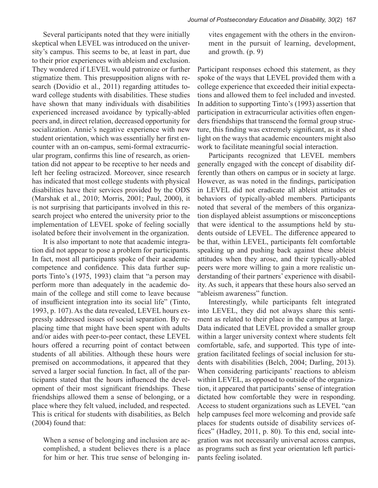Several participants noted that they were initially skeptical when LEVEL was introduced on the university's campus. This seems to be, at least in part, due to their prior experiences with ableism and exclusion. They wondered if LEVEL would patronize or further stigmatize them. This presupposition aligns with research (Dovidio et al., 2011) regarding attitudes toward college students with disabilities. These studies have shown that many individuals with disabilities experienced increased avoidance by typically-abled peers and, in direct relation, decreased opportunity for socialization. Annie's negative experience with new student orientation, which was essentially her first encounter with an on-campus, semi-formal extracurricular program, confirms this line of research, as orientation did not appear to be receptive to her needs and left her feeling ostracized. Moreover, since research has indicated that most college students with physical disabilities have their services provided by the ODS (Marshak et al., 2010; Morris, 2001; Paul, 2000), it is not surprising that participants involved in this research project who entered the university prior to the implementation of LEVEL spoke of feeling socially isolated before their involvement in the organization.

It is also important to note that academic integration did not appear to pose a problem for participants. In fact, most all participants spoke of their academic competence and confidence. This data further supports Tinto's (1975, 1993) claim that "a person may perform more than adequately in the academic domain of the college and still come to leave because of insufficient integration into its social life" (Tinto, 1993, p. 107). As the data revealed, LEVEL hours expressly addressed issues of social separation. By replacing time that might have been spent with adults and/or aides with peer-to-peer contact, these LEVEL hours offered a recurring point of contact between students of all abilities. Although these hours were premised on accommodations, it appeared that they served a larger social function. In fact, all of the participants stated that the hours influenced the development of their most significant friendships. These friendships allowed them a sense of belonging, or a place where they felt valued, included, and respected. This is critical for students with disabilities, as Belch (2004) found that:

When a sense of belonging and inclusion are accomplished, a student believes there is a place for him or her. This true sense of belonging in-

vites engagement with the others in the environment in the pursuit of learning, development, and growth. (p. 9)

Participant responses echoed this statement, as they spoke of the ways that LEVEL provided them with a college experience that exceeded their initial expectations and allowed them to feel included and invested. In addition to supporting Tinto's (1993) assertion that participation in extracurricular activities often engenders friendships that transcend the formal group structure, this finding was extremely significant, as it shed light on the ways that academic encounters might also work to facilitate meaningful social interaction.

Participants recognized that LEVEL members generally engaged with the concept of disability differently than others on campus or in society at large. However, as was noted in the findings, participation in LEVEL did not eradicate all ableist attitudes or behaviors of typically-abled members. Participants noted that several of the members of this organization displayed ableist assumptions or misconceptions that were identical to the assumptions held by students outside of LEVEL. The difference appeared to be that, within LEVEL, participants felt comfortable speaking up and pushing back against these ableist attitudes when they arose, and their typically-abled peers were more willing to gain a more realistic understanding of their partners' experience with disability. As such, it appears that these hours also served an "ableism awareness" function.

Interestingly, while participants felt integrated into LEVEL, they did not always share this sentiment as related to their place in the campus at large. Data indicated that LEVEL provided a smaller group within a larger university context where students felt comfortable, safe, and supported. This type of integration facilitated feelings of social inclusion for students with disabilities (Belch, 2004; Darling, 2013). When considering participants' reactions to ableism within LEVEL, as opposed to outside of the organization, it appeared that participants' sense of integration dictated how comfortable they were in responding. Access to student organizations such as LEVEL "can help campuses feel more welcoming and provide safe places for students outside of disability services offices" (Hadley, 2011, p. 80). To this end, social integration was not necessarily universal across campus, as programs such as first year orientation left participants feeling isolated.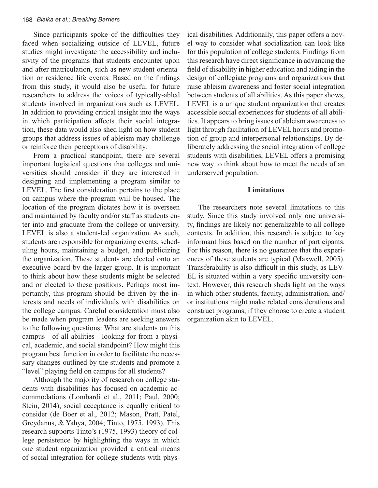Since participants spoke of the difficulties they faced when socializing outside of LEVEL, future studies might investigate the accessibility and inclusivity of the programs that students encounter upon and after matriculation, such as new student orientation or residence life events. Based on the findings from this study, it would also be useful for future researchers to address the voices of typically-abled students involved in organizations such as LEVEL. In addition to providing critical insight into the ways in which participation affects their social integration, these data would also shed light on how student groups that address issues of ableism may challenge or reinforce their perceptions of disability.

From a practical standpoint, there are several important logistical questions that colleges and universities should consider if they are interested in designing and implementing a program similar to LEVEL. The first consideration pertains to the place on campus where the program will be housed. The location of the program dictates how it is overseen and maintained by faculty and/or staff as students enter into and graduate from the college or university. LEVEL is also a student-led organization. As such, students are responsible for organizing events, scheduling hours, maintaining a budget, and publicizing the organization. These students are elected onto an executive board by the larger group. It is important to think about how these students might be selected and or elected to these positions. Perhaps most importantly, this program should be driven by the interests and needs of individuals with disabilities on the college campus. Careful consideration must also be made when program leaders are seeking answers to the following questions: What are students on this campus—of all abilities—looking for from a physical, academic, and social standpoint? How might this program best function in order to facilitate the necessary changes outlined by the students and promote a "level" playing field on campus for all students?

Although the majority of research on college students with disabilities has focused on academic accommodations (Lombardi et al., 2011; Paul, 2000; Stein, 2014), social acceptance is equally critical to consider (de Boer et al., 2012; Mason, Pratt, Patel, Greydanus, & Yahya, 2004; Tinto, 1975, 1993). This research supports Tinto's (1975, 1993) theory of college persistence by highlighting the ways in which one student organization provided a critical means of social integration for college students with phys-

ical disabilities. Additionally, this paper offers a novel way to consider what socialization can look like for this population of college students. Findings from this research have direct significance in advancing the field of disability in higher education and aiding in the design of collegiate programs and organizations that raise ableism awareness and foster social integration between students of all abilities. As this paper shows, LEVEL is a unique student organization that creates accessible social experiences for students of all abilities. It appears to bring issues of ableism awareness to light through facilitation of LEVEL hours and promotion of group and interpersonal relationships. By deliberately addressing the social integration of college students with disabilities, LEVEL offers a promising new way to think about how to meet the needs of an underserved population.

#### **Limitations**

The researchers note several limitations to this study. Since this study involved only one university, findings are likely not generalizable to all college contexts. In addition, this research is subject to key informant bias based on the number of participants. For this reason, there is no guarantee that the experiences of these students are typical (Maxwell, 2005). Transferability is also difficult in this study, as LEV-EL is situated within a very specific university context. However, this research sheds light on the ways in which other students, faculty, administration, and/ or institutions might make related considerations and construct programs, if they choose to create a student organization akin to LEVEL.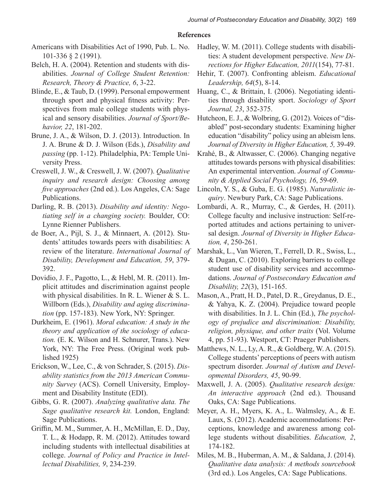#### **References**

- Americans with Disabilities Act of 1990, Pub. L. No. 101-336 § 2 (1991).
- Belch, H. A. (2004). Retention and students with disabilities. *Journal of College Student Retention: Research, Theory & Practice, 6*, 3-22.
- Blinde, E., & Taub, D. (1999). Personal empowerment through sport and physical fitness activity: Perspectives from male college students with physical and sensory disabilities. *Journal of Sport/Behavior, 22*, 181-202.
- Brune, J. A., & Wilson, D. J. (2013). Introduction. In J. A. Brune & D. J. Wilson (Eds.), *Disability and passing* (pp. 1-12). Philadelphia, PA: Temple University Press.
- Creswell, J. W., & Creswell, J. W. (2007). *Qualitative inquiry and research design: Choosing among five approaches* (2nd ed.). Los Angeles, CA: Sage Publications.
- Darling, R. B. (2013). *Disability and identity: Negotiating self in a changing society.* Boulder, CO: Lynne Rienner Publishers.
- de Boer, A., Pijl, S. J., & Minnaert, A. (2012). Students' attitudes towards peers with disabilities: A review of the literature. *International Journal of Disability, Development and Education, 59*, 379- 392.
- Dovidio, J. F., Pagotto, L., & Hebl, M. R. (2011). Implicit attitudes and discrimination against people with physical disabilities. In R. L. Wiener & S. L. Willborn (Eds.), *Disability and aging discrimination* (pp. 157-183). New York, NY: Springer.
- Durkheim, E. (1961). *Moral education: A study in the theory and application of the sociology of education.* (E. K. Wilson and H. Schnurer, Trans.). New York, NY: The Free Press. (Original work published 1925)
- Erickson, W., Lee, C., & von Schrader, S. (2015). *Disability statistics from the 2013 American Community Survey* (ACS). Cornell University, Employment and Disability Institute (EDI).
- Gibbs, G. R. (2007). *Analyzing qualitative data. The Sage qualitative research kit.* London, England: Sage Publications.
- Griffin, M. M., Summer, A. H., McMillan, E. D., Day, T. L., & Hodapp, R. M. (2012). Attitudes toward including students with intellectual disabilities at college. *Journal of Policy and Practice in Intellectual Disabilities, 9*, 234-239.
- Hadley, W. M. (2011). College students with disabilities: A student development perspective. *New Directions for Higher Education, 2011*(154), 77-81.
- Hehir, T. (2007). Confronting ableism. *Educational Leadership, 64*(5), 8-14.
- Huang, C., & Brittain, I. (2006). Negotiating identities through disability sport. *Sociology of Sport Journal, 23*, 352-375.
- Hutcheon, E. J., & Wolbring, G. (2012). Voices of "disabled" post-secondary students: Examining higher education "disability" policy using an ableism lens. *Journal of Diversity in Higher Education, 5,* 39-49.
- Krahé, B., & Altwasser, C. (2006). Changing negative attitudes towards persons with physical disabilities: An experimental intervention. *Journal of Community & Applied Social Psychology, 16*, 59-69.
- Lincoln, Y. S., & Guba, E. G. (1985). *Naturalistic inquiry*. Newbury Park, CA: Sage Publications.
- Lombardi, A. R., Murray, C., & Gerdes, H. (2011). College faculty and inclusive instruction: Self-reported attitudes and actions pertaining to universal design. *Journal of Diversity in Higher Education, 4*, 250-261.
- Marshak, L., Van Wieren, T., Ferrell, D. R., Swiss, L., & Dugan, C. (2010). Exploring barriers to college student use of disability services and accommodations. *Journal of Postsecondary Education and Disability, 22*(3), 151-165.
- Mason, A., Pratt, H. D., Patel, D. R., Greydanus, D. E., & Yahya, K. Z. (2004). Prejudice toward people with disabilities. In J. L. Chin (Ed.), *The psychology of prejudice and discrimination: Disability, religion, physique, and other traits* (Vol. Volume 4, pp. 51-93). Westport, CT: Praeger Publishers.
- Matthews, N. L., Ly, A. R., & Goldberg, W. A. (2015). College students' perceptions of peers with autism spectrum disorder. *Journal of Autism and Developmental Disorders, 45*, 90-99.
- Maxwell, J. A. (2005). *Qualitative research design: An interactive approach* (2nd ed.). Thousand Oaks, CA: Sage Publications.
- Meyer, A. H., Myers, K. A., L. Walmsley, A., & E. Laux, S. (2012). Academic accommodations: Perceptions, knowledge and awareness among college students without disabilities. *Education, 2*, 174-182.
- Miles, M. B., Huberman, A. M., & Saldana, J. (2014). *Qualitative data analysis: A methods sourcebook*  (3rd ed.). Los Angeles, CA: Sage Publications.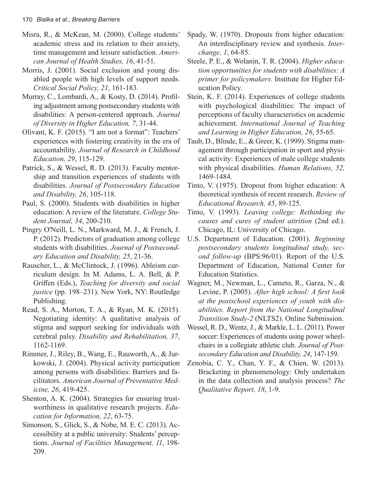- Misra, R., & McKean, M. (2000). College students' academic stress and its relation to their anxiety, time management and leisure satisfaction. *American Journal of Health Studies, 16*, 41-51.
- Morris, J. (2001). Social exclusion and young disabled people with high levels of support needs. *Critical Social Policy, 21*, 161-183.
- Murray, C., Lombardi, A., & Kosty, D. (2014). Profiling adjustment among postsecondary students with disabilities: A person-centered approach. *Journal of Diversity in Higher Education, 7*, 31-44.
- Olivant, K. F. (2015). "I am not a format": Teachers' experiences with fostering creativity in the era of accountability. *Journal of Research in Childhood Education, 29*, 115-129.
- Patrick, S., & Wessel, R. D. (2013). Faculty mentorship and transition experiences of students with disabilities. *Journal of Postsecondary Education and Disability, 26*, 105-118.
- Paul, S. (2000). Students with disabilities in higher education: A review of the literature. *College Student Journal, 34*, 200-210.
- Pingry O'Neill, L. N., Markward, M. J., & French, J. P. (2012). Predictors of graduation among college students with disabilities. *Journal of Postsecondary Education and Disability, 25*, 21-36.
- Rauscher, L., & McClintock, J. (1996). Ableism curriculum design. In M. Adams, L. A. Bell, & P. Griffen (Eds.), *Teaching for diversity and social justice* (pp. 198–231). New York, NY: Routledge Publishing.
- Read, S. A., Morton, T. A., & Ryan, M. K. (2015). Negotiating identity: A qualitative analysis of stigma and support seeking for individuals with cerebral palsy. *Disability and Rehabilitation, 37*, 1162-1169.
- Rimmer, J., Riley, B., Wang, E., Rauworth, A., & Jurkowski, J. (2004). Physical activity participation among persons with disabilities: Barriers and facilitators. *American Journal of Preventative Medicine, 26*, 419-425.
- Shenton, A. K. (2004). Strategies for ensuring trustworthiness in qualitative research projects. *Education for Information, 22*, 63-75.
- Simonson, S., Glick, S., & Nobe, M. E. C. (2013). Accessibility at a public university: Students' perceptions. *Journal of Facilities Management, 11*, 198- 209.
- Spady, W. (1970). Dropouts from higher education: An interdisciplinary review and synthesis. *Interchange, 1*, 64-85.
- Steele, P. E., & Wolanin, T. R. (2004). *Higher education opportunities for students with disabilities: A primer for policymakers.* Institute for Higher Education Policy.
- Stein, K. F. (2014). Experiences of college students with psychological disabilities: The impact of perceptions of faculty characteristics on academic achievement. *International Journal of Teaching and Learning in Higher Education, 26*, 55-65.
- Taub, D., Blinde, E., & Greer, K. (1999). Stigma management through participation in sport and physical activity: Experiences of male college students with physical disabilities. *Human Relations, 52,* 1469-1484.
- Tinto, V. (1975). Dropout from higher education: A theoretical synthesis of recent research. *Review of Educational Research, 45*, 89-125.
- Tinto, V. (1993). *Leaving college: Rethinking the causes and cures of student attrition* (2nd ed.). Chicago, IL: University of Chicago.
- U.S. Department of Education. (2001). *Beginning postsecondary students longitudinal study, second follow-up* (BPS:96/01). Report of the U.S. Department of Education, National Center for Education Statistics.
- Wagner, M., Newman, L., Cameto, R., Garza, N., & Levine, P. (2005). *After high school: A first look at the postschool experiences of youth with disabilities. Report from the National Longitudinal Transition Study-2* (NLTS2). Online Submission.
- Wessel, R. D., Wentz, J., & Markle, L. L. (2011). Power soccer: Experiences of students using power wheelchairs in a collegiate athletic club. *Journal of Postsecondary Education and Disability, 24*, 147-159.
- Zenobia, C. Y., Chan, Y. F., & Chien, W. (2013). Bracketing in phenomenology: Only undertaken in the data collection and analysis process? *The Qualitative Report, 18*, 1-9.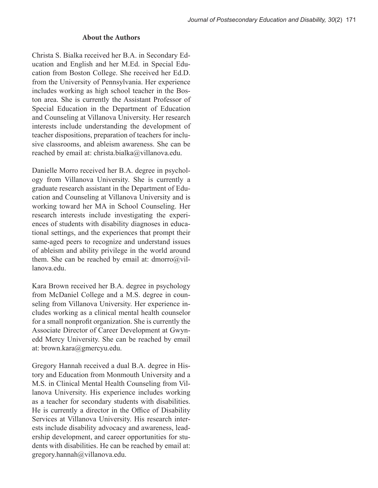# **About the Authors**

Christa S. Bialka received her B.A. in Secondary Education and English and her M.Ed. in Special Education from Boston College. She received her Ed.D. from the University of Pennsylvania. Her experience includes working as high school teacher in the Boston area. She is currently the Assistant Professor of Special Education in the Department of Education and Counseling at Villanova University. Her research interests include understanding the development of teacher dispositions, preparation of teachers for inclusive classrooms, and ableism awareness. She can be reached by email at: christa.bialka@villanova.edu.

Danielle Morro received her B.A. degree in psychology from Villanova University. She is currently a graduate research assistant in the Department of Education and Counseling at Villanova University and is working toward her MA in School Counseling. Her research interests include investigating the experiences of students with disability diagnoses in educational settings, and the experiences that prompt their same-aged peers to recognize and understand issues of ableism and ability privilege in the world around them. She can be reached by email at: dmorro@villanova.edu.

Kara Brown received her B.A. degree in psychology from McDaniel College and a M.S. degree in counseling from Villanova University. Her experience includes working as a clinical mental health counselor for a small nonprofit organization. She is currently the Associate Director of Career Development at Gwynedd Mercy University. She can be reached by email at: brown.kara@gmercyu.edu.

Gregory Hannah received a dual B.A. degree in History and Education from Monmouth University and a M.S. in Clinical Mental Health Counseling from Villanova University. His experience includes working as a teacher for secondary students with disabilities. He is currently a director in the Office of Disability Services at Villanova University. His research interests include disability advocacy and awareness, leadership development, and career opportunities for students with disabilities. He can be reached by email at: gregory.hannah@villanova.edu.